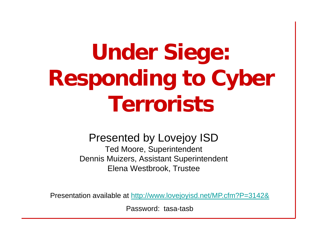# **U d Si n er Siege: Responding to Cyber Terrorists**

#### Presented by Lovejoy ISD

Ted Moore, Superintendent Dennis Muizers, Assistant Superintendent Elena Westbrook, Trustee

Presentation available at http://www.lovejoyisd.net/MP.cfm?P=3142&

Password: tasa-tasb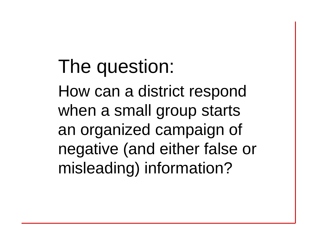### The question:

How can a district respond when a small group starts an organized campaign of negative (and either false or misleading) information?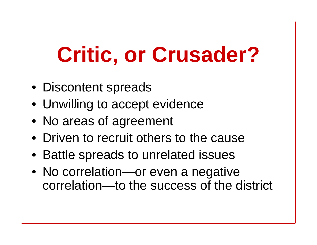# **Critic, or Crusader?**

- Discontent spreads
- Unwilling to accept evidence
- No areas of agreement
- Driven to recruit others to the cause
- Battle spreads to unrelated issues
- $\bullet\,$  No correlation—or even a negative correlation—to the success of the district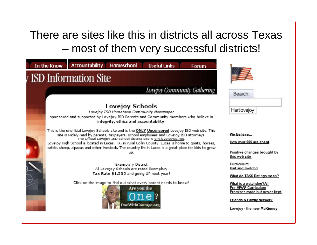#### There are sites like this in districts all across Texas – most of them very successful districts!

|                               | In the Know                                                                                                                                                                                        | <b>Accountability</b><br><b>Homeschool</b><br><b>Useful Links</b><br>Forum                                                                                                                                                                                                                                                                                                                                                                                                                   |                                                                                                                                                                                                                                     |
|-------------------------------|----------------------------------------------------------------------------------------------------------------------------------------------------------------------------------------------------|----------------------------------------------------------------------------------------------------------------------------------------------------------------------------------------------------------------------------------------------------------------------------------------------------------------------------------------------------------------------------------------------------------------------------------------------------------------------------------------------|-------------------------------------------------------------------------------------------------------------------------------------------------------------------------------------------------------------------------------------|
| <i>I</i> ISD Information Site |                                                                                                                                                                                                    |                                                                                                                                                                                                                                                                                                                                                                                                                                                                                              |                                                                                                                                                                                                                                     |
|                               |                                                                                                                                                                                                    | Lovejoy Community Gathering                                                                                                                                                                                                                                                                                                                                                                                                                                                                  | Search:                                                                                                                                                                                                                             |
|                               | <b>Lovejoy Schools</b><br>Lovejoy ISD Hometown Community Newspaper<br>sponsored and supported by Lovejoy ISD Parents and Community members who believe in<br>integrity, ethics and accountability. |                                                                                                                                                                                                                                                                                                                                                                                                                                                                                              | Hartlovejoy                                                                                                                                                                                                                         |
|                               |                                                                                                                                                                                                    | This is the unofficial Lovejoy Schools site and is the ONLY Uncensored Lovejoy ISD web site. This<br>site is widely read by parents, taxpayers, school employees and Lovejoy ISD attorneys.<br>The Official Lovejoy ISD school district site is sm.lovejoyisd.net.<br>Lovejoy High School is located in Lucas, TX, in rural Collin County. Lucas is home to goats, horses,<br>cattle, sheep, alpacas and other livestock. The country life in Lucas is a great place for kids to grow<br>up. | We Believe<br>How your \$\$\$ are spent<br>Positive changes brought by<br>this web site                                                                                                                                             |
|                               |                                                                                                                                                                                                    | Exemplary District<br>All Lovejoy Schools are rated Exemplary<br>Tax Rate \$1.535 and going UP next year!<br>Click on the image to find out what every parent needs to know!<br>Are you the<br><b>DneWithCourage.org</b>                                                                                                                                                                                                                                                                     | Curriculum:<br><b>Bait and Switchd</b><br>What do TAKS Ratings mean?<br>What is a watchdog?All<br>Pre-AP/AP Curriculum<br>Promises made but never kept<br><b>Friends &amp; Family Network</b><br><u> Lovejoy - the new McKinney</u> |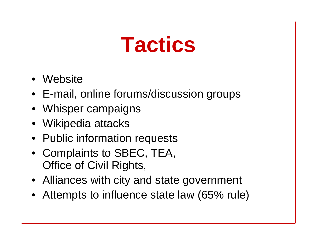## **Tactics**

- Website
- E-mail, online forums/discussion groups
- Whisper campaigns
- Wikipedia attacks
- Public information requests
- Complaints to SBEC, TEA, Office of Civil Rights,
- Alliances with city and state government
- Attempts to influence state law (65% rule)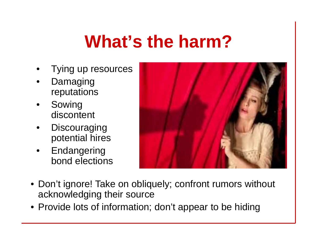#### **What s' the harm?**

- •Tying up resources
- • Damaging reputations
- • Sowing discontent
- •**Discouraging** potential hires
- • Endangering bond elections



- Don't ignore! Take on obliquely; confront rumors without acknowledging their source
- Provide lots of information; don't appear to be hiding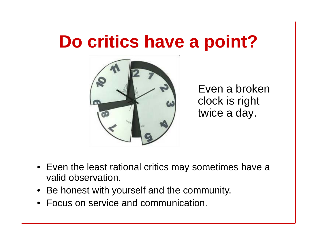#### **Do critics have <sup>a</sup> point?**



Even a broken clock is ri ght twice a day.

- $\bullet~$  Even the least rational critics may sometimes have a valid observation.
- Be honest with yourself and the community.
- $\bullet\,$  Focus on service and communication.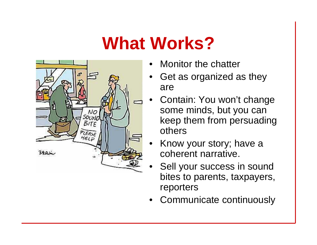#### **What Works?**



- •Monitor the chatter
- • Get as organized as they are
- • Contain: You won't change some minds, but you can keep them from persuading others
- • Know your story; have a coherent narrative.
- • Sell your success in sound bites to parents, taxpayers, reporters
- •Communicate continuously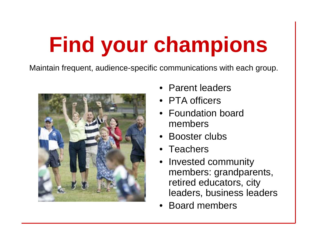# **Find your champions**

Maintain frequent, audience-specific communications with each group.



- Parent leaders
- PTA officers
- Foundation board members
- Booster clubs
- Teachers
- • Invested community members: grandparents, retired educators, city leaders, business leaders
- •Board members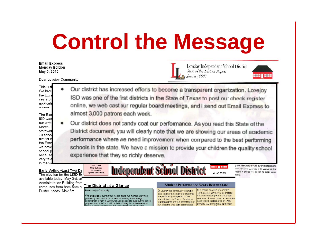## **Control the Message**

**Email Express Monday Edition** May 3, 2010

the Exce

we have school r

because very tale

Dear Lovejoy Community.

Lovejoy Independent School District **State of the District Report** January 2008



This is t Our district has increased efforts to become a transparent organization. Lovejoy We bro the Exc ISD was one of the first districts in the State of Texas to post our check register years of applicati online, we web cast our regular board meetings, and I send out Email Express to winner. almost 3,000 patrons each week. The Exc ISD was Our district does not candy coat our performance. As you read this State of the our writt March. District document, you will clearly note that we are showing our areas of academic statewid 70 scho district i

performance where we need improvemen: when corrpared to the best performing schools in the state. We have a mission to provide your children the quality school experience that they so richly deserve.

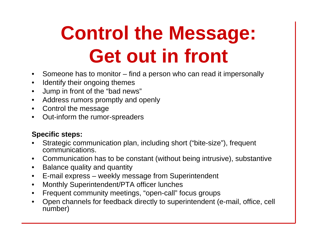## **Control the Message: Get out in front**

- $\bullet$ • Someone has to monitor – find a person who can read it impersonally
- $\bullet$ Identify their ongoing themes
- $\bullet$ Jump in front of the "bad news"
- $\bullet$ Address rumors promptly and openly
- •• Control the message
- $\bullet$ Out-inform the rumor-spreaders

#### **S p p ecific ste ps:**

- • Strategic communication plan, including short ("bite-size"), frequent communications.
- Communication has to be constant (without being intrusive), substantive
- $\bullet$ Balance quality and quantity
- $\bullet$ E-mail express – weekly message from Superintendent
- $\bullet$ Monthly Superintendent/PTA officer lunches
- $\bullet$ Frequent community meetings, "open-call" focus groups
- $\bullet$ • Open channels for feedback directly to superintendent (e-mail, office, cell number)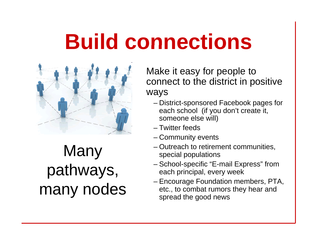## **Build connections**



**Many** many nodes

Make it easy for people to connect to the district in positive ways

- District-sponsored Facebook pages for each school (if you don't create it, someone else will)
- Twitter feeds
- Community events
- Outreach to retirement communities, special populations
- $\mathsf{pathways}, \qquad \qquad \textsf{\tiny{}--School-specific\texttt{\tiny{}}\texttt{\tiny{}}}= \textsf{\tiny{map}}$ - School-specific "E-mail Express" from each principal, every week
	- Encourage Foundation members, PTA, etc., to combat rumors they hear and spread the good news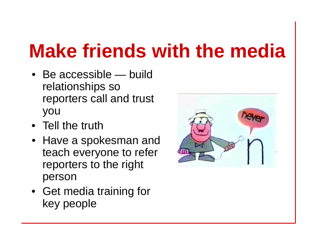## **Make friends with the media**

- Be accessible — build relationships so reporters call and trust you
- Tell the truth
- $\bullet\;$  Have a spokesman and teach everyone to refer reporters to the right person
- Get media training for key people